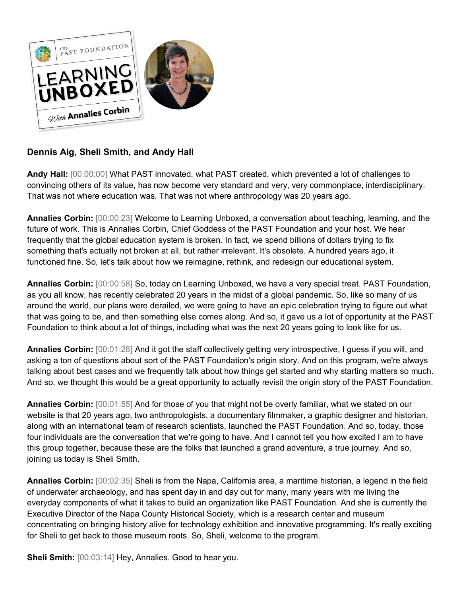

## **Dennis Aig, Sheli Smith, and Andy Hall**

**Andy Hall:** [00:00:00] What PAST innovated, what PAST created, which prevented a lot of challenges to convincing others of its value, has now become very standard and very, very commonplace, interdisciplinary. That was not where education was. That was not where anthropology was 20 years ago.

**Annalies Corbin:** [00:00:23] Welcome to Learning Unboxed, a conversation about teaching, learning, and the future of work. This is Annalies Corbin, Chief Goddess of the PAST Foundation and your host. We hear frequently that the global education system is broken. In fact, we spend billions of dollars trying to fix something that's actually not broken at all, but rather irrelevant. It's obsolete. A hundred years ago, it functioned fine. So, let's talk about how we reimagine, rethink, and redesign our educational system.

**Annalies Corbin:** [00:00:58] So, today on Learning Unboxed, we have a very special treat. PAST Foundation, as you all know, has recently celebrated 20 years in the midst of a global pandemic. So, like so many of us around the world, our plans were derailed, we were going to have an epic celebration trying to figure out what that was going to be, and then something else comes along. And so, it gave us a lot of opportunity at the PAST Foundation to think about a lot of things, including what was the next 20 years going to look like for us.

**Annalies Corbin:** [00:01:28] And it got the staff collectively getting very introspective, I guess if you will, and asking a ton of questions about sort of the PAST Foundation's origin story. And on this program, we're always talking about best cases and we frequently talk about how things get started and why starting matters so much. And so, we thought this would be a great opportunity to actually revisit the origin story of the PAST Foundation.

**Annalies Corbin:** [00:01:55] And for those of you that might not be overly familiar, what we stated on our website is that 20 years ago, two anthropologists, a documentary filmmaker, a graphic designer and historian, along with an international team of research scientists, launched the PAST Foundation. And so, today, those four individuals are the conversation that we're going to have. And I cannot tell you how excited I am to have this group together, because these are the folks that launched a grand adventure, a true journey. And so, joining us today is Sheli Smith.

**Annalies Corbin:** [00:02:35] Sheli is from the Napa, California area, a maritime historian, a legend in the field of underwater archaeology, and has spent day in and day out for many, many years with me living the everyday components of what it takes to build an organization like PAST Foundation. And she is currently the Executive Director of the Napa County Historical Society, which is a research center and museum concentrating on bringing history alive for technology exhibition and innovative programming. It's really exciting for Sheli to get back to those museum roots. So, Sheli, welcome to the program.

**Sheli Smith:** [00:03:14] Hey, Annalies. Good to hear you.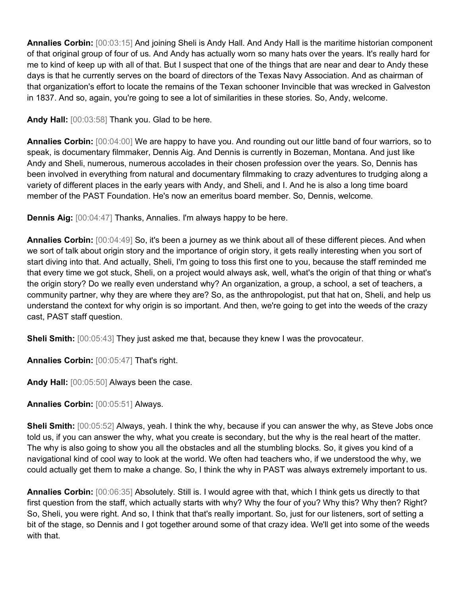**Annalies Corbin:** [00:03:15] And joining Sheli is Andy Hall. And Andy Hall is the maritime historian component of that original group of four of us. And Andy has actually worn so many hats over the years. It's really hard for me to kind of keep up with all of that. But I suspect that one of the things that are near and dear to Andy these days is that he currently serves on the board of directors of the Texas Navy Association. And as chairman of that organization's effort to locate the remains of the Texan schooner Invincible that was wrecked in Galveston in 1837. And so, again, you're going to see a lot of similarities in these stories. So, Andy, welcome.

**Andy Hall:** [00:03:58] Thank you. Glad to be here.

**Annalies Corbin:** [00:04:00] We are happy to have you. And rounding out our little band of four warriors, so to speak, is documentary filmmaker, Dennis Aig. And Dennis is currently in Bozeman, Montana. And just like Andy and Sheli, numerous, numerous accolades in their chosen profession over the years. So, Dennis has been involved in everything from natural and documentary filmmaking to crazy adventures to trudging along a variety of different places in the early years with Andy, and Sheli, and I. And he is also a long time board member of the PAST Foundation. He's now an emeritus board member. So, Dennis, welcome.

**Dennis Aig:** [00:04:47] Thanks, Annalies. I'm always happy to be here.

**Annalies Corbin:** [00:04:49] So, it's been a journey as we think about all of these different pieces. And when we sort of talk about origin story and the importance of origin story, it gets really interesting when you sort of start diving into that. And actually, Sheli, I'm going to toss this first one to you, because the staff reminded me that every time we got stuck, Sheli, on a project would always ask, well, what's the origin of that thing or what's the origin story? Do we really even understand why? An organization, a group, a school, a set of teachers, a community partner, why they are where they are? So, as the anthropologist, put that hat on, Sheli, and help us understand the context for why origin is so important. And then, we're going to get into the weeds of the crazy cast, PAST staff question.

**Sheli Smith:** [00:05:43] They just asked me that, because they knew I was the provocateur.

**Annalies Corbin:** [00:05:47] That's right.

**Andy Hall:** [00:05:50] Always been the case.

**Annalies Corbin:** [00:05:51] Always.

**Sheli Smith:** [00:05:52] Always, yeah. I think the why, because if you can answer the why, as Steve Jobs once told us, if you can answer the why, what you create is secondary, but the why is the real heart of the matter. The why is also going to show you all the obstacles and all the stumbling blocks. So, it gives you kind of a navigational kind of cool way to look at the world. We often had teachers who, if we understood the why, we could actually get them to make a change. So, I think the why in PAST was always extremely important to us.

**Annalies Corbin:** [00:06:35] Absolutely. Still is. I would agree with that, which I think gets us directly to that first question from the staff, which actually starts with why? Why the four of you? Why this? Why then? Right? So, Sheli, you were right. And so, I think that that's really important. So, just for our listeners, sort of setting a bit of the stage, so Dennis and I got together around some of that crazy idea. We'll get into some of the weeds with that.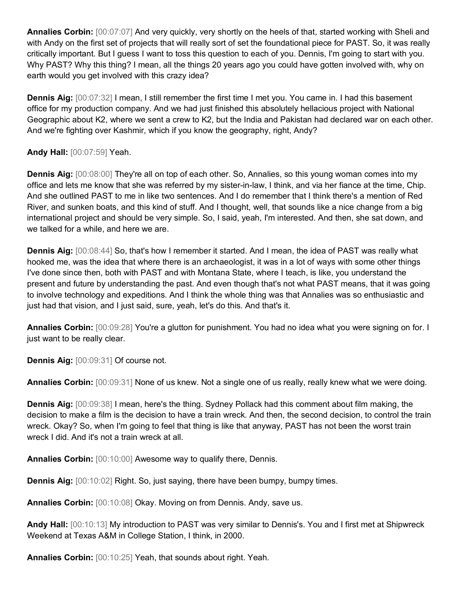**Annalies Corbin:** [00:07:07] And very quickly, very shortly on the heels of that, started working with Sheli and with Andy on the first set of projects that will really sort of set the foundational piece for PAST. So, it was really critically important. But I guess I want to toss this question to each of you. Dennis, I'm going to start with you. Why PAST? Why this thing? I mean, all the things 20 years ago you could have gotten involved with, why on earth would you get involved with this crazy idea?

**Dennis Aig:** [00:07:32] I mean, I still remember the first time I met you. You came in. I had this basement office for my production company. And we had just finished this absolutely hellacious project with National Geographic about K2, where we sent a crew to K2, but the India and Pakistan had declared war on each other. And we're fighting over Kashmir, which if you know the geography, right, Andy?

## **Andy Hall:** [00:07:59] Yeah.

**Dennis Aig:** [00:08:00] They're all on top of each other. So, Annalies, so this young woman comes into my office and lets me know that she was referred by my sister-in-law, I think, and via her fiance at the time, Chip. And she outlined PAST to me in like two sentences. And I do remember that I think there's a mention of Red River, and sunken boats, and this kind of stuff. And I thought, well, that sounds like a nice change from a big international project and should be very simple. So, I said, yeah, I'm interested. And then, she sat down, and we talked for a while, and here we are.

**Dennis Aig:** [00:08:44] So, that's how I remember it started. And I mean, the idea of PAST was really what hooked me, was the idea that where there is an archaeologist, it was in a lot of ways with some other things I've done since then, both with PAST and with Montana State, where I teach, is like, you understand the present and future by understanding the past. And even though that's not what PAST means, that it was going to involve technology and expeditions. And I think the whole thing was that Annalies was so enthusiastic and just had that vision, and I just said, sure, yeah, let's do this. And that's it.

**Annalies Corbin:** [00:09:28] You're a glutton for punishment. You had no idea what you were signing on for. I just want to be really clear.

**Dennis Aig:** [00:09:31] Of course not.

**Annalies Corbin:** [00:09:31] None of us knew. Not a single one of us really, really knew what we were doing.

**Dennis Aig:** [00:09:38] I mean, here's the thing. Sydney Pollack had this comment about film making, the decision to make a film is the decision to have a train wreck. And then, the second decision, to control the train wreck. Okay? So, when I'm going to feel that thing is like that anyway, PAST has not been the worst train wreck I did. And it's not a train wreck at all.

**Annalies Corbin:** [00:10:00] Awesome way to qualify there, Dennis.

**Dennis Aig:** [00:10:02] Right. So, just saying, there have been bumpy, bumpy times.

**Annalies Corbin:** [00:10:08] Okay. Moving on from Dennis. Andy, save us.

**Andy Hall:** [00:10:13] My introduction to PAST was very similar to Dennis's. You and I first met at Shipwreck Weekend at Texas A&M in College Station, I think, in 2000.

**Annalies Corbin:** [00:10:25] Yeah, that sounds about right. Yeah.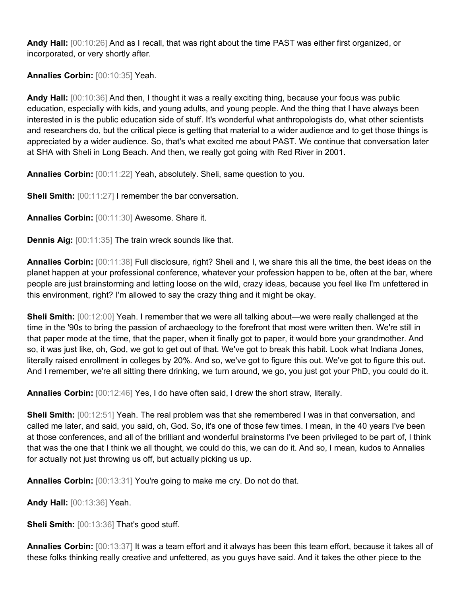**Andy Hall:** [00:10:26] And as I recall, that was right about the time PAST was either first organized, or incorporated, or very shortly after.

**Annalies Corbin:** [00:10:35] Yeah.

**Andy Hall:** [00:10:36] And then, I thought it was a really exciting thing, because your focus was public education, especially with kids, and young adults, and young people. And the thing that I have always been interested in is the public education side of stuff. It's wonderful what anthropologists do, what other scientists and researchers do, but the critical piece is getting that material to a wider audience and to get those things is appreciated by a wider audience. So, that's what excited me about PAST. We continue that conversation later at SHA with Sheli in Long Beach. And then, we really got going with Red River in 2001.

**Annalies Corbin:** [00:11:22] Yeah, absolutely. Sheli, same question to you.

**Sheli Smith:** [00:11:27] I remember the bar conversation.

**Annalies Corbin:** [00:11:30] Awesome. Share it.

**Dennis Aig:** [00:11:35] The train wreck sounds like that.

**Annalies Corbin:** [00:11:38] Full disclosure, right? Sheli and I, we share this all the time, the best ideas on the planet happen at your professional conference, whatever your profession happen to be, often at the bar, where people are just brainstorming and letting loose on the wild, crazy ideas, because you feel like I'm unfettered in this environment, right? I'm allowed to say the crazy thing and it might be okay.

**Sheli Smith:** [00:12:00] Yeah. I remember that we were all talking about—we were really challenged at the time in the '90s to bring the passion of archaeology to the forefront that most were written then. We're still in that paper mode at the time, that the paper, when it finally got to paper, it would bore your grandmother. And so, it was just like, oh, God, we got to get out of that. We've got to break this habit. Look what Indiana Jones, literally raised enrollment in colleges by 20%. And so, we've got to figure this out. We've got to figure this out. And I remember, we're all sitting there drinking, we turn around, we go, you just got your PhD, you could do it.

**Annalies Corbin:** [00:12:46] Yes, I do have often said, I drew the short straw, literally.

**Sheli Smith:** [00:12:51] Yeah. The real problem was that she remembered I was in that conversation, and called me later, and said, you said, oh, God. So, it's one of those few times. I mean, in the 40 years I've been at those conferences, and all of the brilliant and wonderful brainstorms I've been privileged to be part of, I think that was the one that I think we all thought, we could do this, we can do it. And so, I mean, kudos to Annalies for actually not just throwing us off, but actually picking us up.

**Annalies Corbin:** [00:13:31] You're going to make me cry. Do not do that.

**Andy Hall:** [00:13:36] Yeah.

**Sheli Smith:** [00:13:36] That's good stuff.

**Annalies Corbin:** [00:13:37] It was a team effort and it always has been this team effort, because it takes all of these folks thinking really creative and unfettered, as you guys have said. And it takes the other piece to the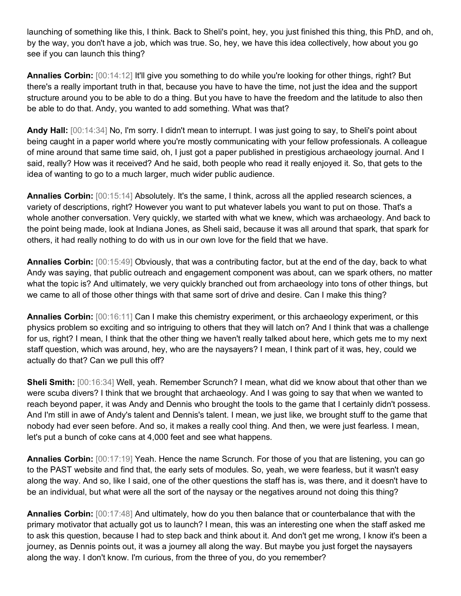launching of something like this, I think. Back to Sheli's point, hey, you just finished this thing, this PhD, and oh, by the way, you don't have a job, which was true. So, hey, we have this idea collectively, how about you go see if you can launch this thing?

**Annalies Corbin:** [00:14:12] It'll give you something to do while you're looking for other things, right? But there's a really important truth in that, because you have to have the time, not just the idea and the support structure around you to be able to do a thing. But you have to have the freedom and the latitude to also then be able to do that. Andy, you wanted to add something. What was that?

**Andy Hall:** [00:14:34] No, I'm sorry. I didn't mean to interrupt. I was just going to say, to Sheli's point about being caught in a paper world where you're mostly communicating with your fellow professionals. A colleague of mine around that same time said, oh, I just got a paper published in prestigious archaeology journal. And I said, really? How was it received? And he said, both people who read it really enjoyed it. So, that gets to the idea of wanting to go to a much larger, much wider public audience.

**Annalies Corbin:** [00:15:14] Absolutely. It's the same, I think, across all the applied research sciences, a variety of descriptions, right? However you want to put whatever labels you want to put on those. That's a whole another conversation. Very quickly, we started with what we knew, which was archaeology. And back to the point being made, look at Indiana Jones, as Sheli said, because it was all around that spark, that spark for others, it had really nothing to do with us in our own love for the field that we have.

**Annalies Corbin:** [00:15:49] Obviously, that was a contributing factor, but at the end of the day, back to what Andy was saying, that public outreach and engagement component was about, can we spark others, no matter what the topic is? And ultimately, we very quickly branched out from archaeology into tons of other things, but we came to all of those other things with that same sort of drive and desire. Can I make this thing?

**Annalies Corbin:** [00:16:11] Can I make this chemistry experiment, or this archaeology experiment, or this physics problem so exciting and so intriguing to others that they will latch on? And I think that was a challenge for us, right? I mean, I think that the other thing we haven't really talked about here, which gets me to my next staff question, which was around, hey, who are the naysayers? I mean, I think part of it was, hey, could we actually do that? Can we pull this off?

**Sheli Smith:** [00:16:34] Well, yeah. Remember Scrunch? I mean, what did we know about that other than we were scuba divers? I think that we brought that archaeology. And I was going to say that when we wanted to reach beyond paper, it was Andy and Dennis who brought the tools to the game that I certainly didn't possess. And I'm still in awe of Andy's talent and Dennis's talent. I mean, we just like, we brought stuff to the game that nobody had ever seen before. And so, it makes a really cool thing. And then, we were just fearless. I mean, let's put a bunch of coke cans at 4,000 feet and see what happens.

**Annalies Corbin:** [00:17:19] Yeah. Hence the name Scrunch. For those of you that are listening, you can go to the PAST website and find that, the early sets of modules. So, yeah, we were fearless, but it wasn't easy along the way. And so, like I said, one of the other questions the staff has is, was there, and it doesn't have to be an individual, but what were all the sort of the naysay or the negatives around not doing this thing?

**Annalies Corbin:** [00:17:48] And ultimately, how do you then balance that or counterbalance that with the primary motivator that actually got us to launch? I mean, this was an interesting one when the staff asked me to ask this question, because I had to step back and think about it. And don't get me wrong, I know it's been a journey, as Dennis points out, it was a journey all along the way. But maybe you just forget the naysayers along the way. I don't know. I'm curious, from the three of you, do you remember?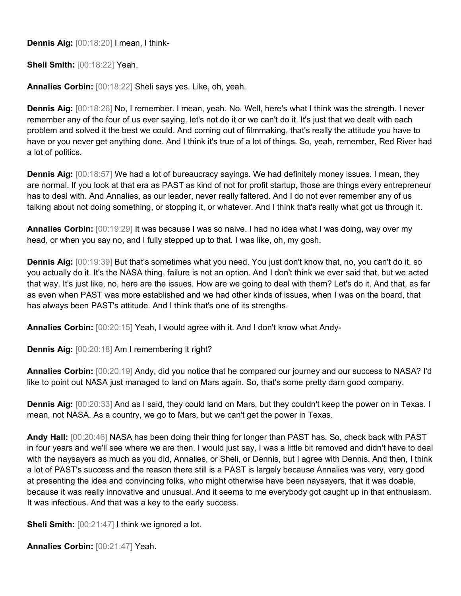**Dennis Aig:** [00:18:20] I mean, I think-

**Sheli Smith:** [00:18:22] Yeah.

**Annalies Corbin:** [00:18:22] Sheli says yes. Like, oh, yeah.

**Dennis Aig:** [00:18:26] No, I remember. I mean, yeah. No. Well, here's what I think was the strength. I never remember any of the four of us ever saying, let's not do it or we can't do it. It's just that we dealt with each problem and solved it the best we could. And coming out of filmmaking, that's really the attitude you have to have or you never get anything done. And I think it's true of a lot of things. So, yeah, remember, Red River had a lot of politics.

**Dennis Aig:** [00:18:57] We had a lot of bureaucracy sayings. We had definitely money issues. I mean, they are normal. If you look at that era as PAST as kind of not for profit startup, those are things every entrepreneur has to deal with. And Annalies, as our leader, never really faltered. And I do not ever remember any of us talking about not doing something, or stopping it, or whatever. And I think that's really what got us through it.

**Annalies Corbin:** [00:19:29] It was because I was so naive. I had no idea what I was doing, way over my head, or when you say no, and I fully stepped up to that. I was like, oh, my gosh.

**Dennis Aig:** [00:19:39] But that's sometimes what you need. You just don't know that, no, you can't do it, so you actually do it. It's the NASA thing, failure is not an option. And I don't think we ever said that, but we acted that way. It's just like, no, here are the issues. How are we going to deal with them? Let's do it. And that, as far as even when PAST was more established and we had other kinds of issues, when I was on the board, that has always been PAST's attitude. And I think that's one of its strengths.

**Annalies Corbin:** [00:20:15] Yeah, I would agree with it. And I don't know what Andy-

**Dennis Aig:** [00:20:18] Am I remembering it right?

**Annalies Corbin:** [00:20:19] Andy, did you notice that he compared our journey and our success to NASA? I'd like to point out NASA just managed to land on Mars again. So, that's some pretty darn good company.

**Dennis Aig:** [00:20:33] And as I said, they could land on Mars, but they couldn't keep the power on in Texas. I mean, not NASA. As a country, we go to Mars, but we can't get the power in Texas.

**Andy Hall:** [00:20:46] NASA has been doing their thing for longer than PAST has. So, check back with PAST in four years and we'll see where we are then. I would just say, I was a little bit removed and didn't have to deal with the naysayers as much as you did, Annalies, or Sheli, or Dennis, but I agree with Dennis. And then, I think a lot of PAST's success and the reason there still is a PAST is largely because Annalies was very, very good at presenting the idea and convincing folks, who might otherwise have been naysayers, that it was doable, because it was really innovative and unusual. And it seems to me everybody got caught up in that enthusiasm. It was infectious. And that was a key to the early success.

**Sheli Smith:** [00:21:47] I think we ignored a lot.

**Annalies Corbin:** [00:21:47] Yeah.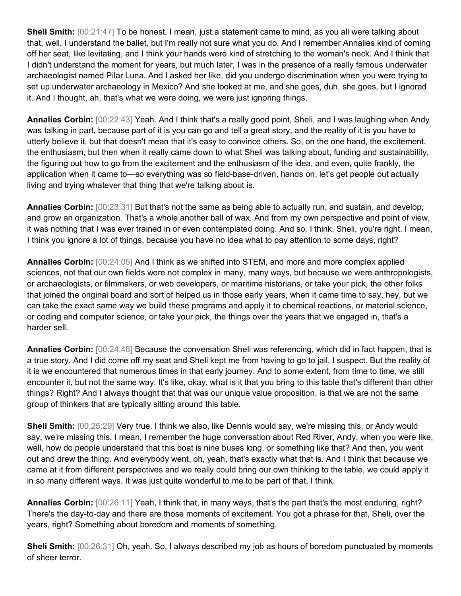**Sheli Smith:** [00:21:47] To be honest. I mean, just a statement came to mind, as you all were talking about that, well, I understand the ballet, but I'm really not sure what you do. And I remember Annalies kind of coming off her seat, like levitating, and I think your hands were kind of stretching to the woman's neck. And I think that I didn't understand the moment for years, but much later, I was in the presence of a really famous underwater archaeologist named Pilar Luna. And I asked her like, did you undergo discrimination when you were trying to set up underwater archaeology in Mexico? And she looked at me, and she goes, duh, she goes, but I ignored it. And I thought, ah, that's what we were doing, we were just ignoring things.

**Annalies Corbin:** [00:22:43] Yeah. And I think that's a really good point, Sheli, and I was laughing when Andy was talking in part, because part of it is you can go and tell a great story, and the reality of it is you have to utterly believe it, but that doesn't mean that it's easy to convince others. So, on the one hand, the excitement, the enthusiasm, but then when it really came down to what Sheli was talking about, funding and sustainability, the figuring out how to go from the excitement and the enthusiasm of the idea, and even, quite frankly, the application when it came to—so everything was so field-base-driven, hands on, let's get people out actually living and trying whatever that thing that we're talking about is.

**Annalies Corbin:** [00:23:31] But that's not the same as being able to actually run, and sustain, and develop, and grow an organization. That's a whole another ball of wax. And from my own perspective and point of view, it was nothing that I was ever trained in or even contemplated doing. And so, I think, Sheli, you're right. I mean, I think you ignore a lot of things, because you have no idea what to pay attention to some days, right?

**Annalies Corbin:** [00:24:05] And I think as we shifted into STEM, and more and more complex applied sciences, not that our own fields were not complex in many, many ways, but because we were anthropologists, or archaeologists, or filmmakers, or web developers, or maritime historians, or take your pick, the other folks that joined the original board and sort of helped us in those early years, when it came time to say, hey, but we can take the exact same way we build these programs and apply it to chemical reactions, or material science, or coding and computer science, or take your pick, the things over the years that we engaged in, that's a harder sell.

**Annalies Corbin:** [00:24:48] Because the conversation Sheli was referencing, which did in fact happen, that is a true story. And I did come off my seat and Sheli kept me from having to go to jail, I suspect. But the reality of it is we encountered that numerous times in that early journey. And to some extent, from time to time, we still encounter it, but not the same way. It's like, okay, what is it that you bring to this table that's different than other things? Right? And I always thought that that was our unique value proposition, is that we are not the same group of thinkers that are typically sitting around this table.

**Sheli Smith:** [00:25:29] Very true. I think we also, like Dennis would say, we're missing this, or Andy would say, we're missing this. I mean, I remember the huge conversation about Red River, Andy, when you were like, well, how do people understand that this boat is nine buses long, or something like that? And then, you went out and drew the thing. And everybody went, oh, yeah, that's exactly what that is. And I think that because we came at it from different perspectives and we really could bring our own thinking to the table, we could apply it in so many different ways. It was just quite wonderful to me to be part of that, I think.

**Annalies Corbin:** [00:26:11] Yeah, I think that, in many ways, that's the part that's the most enduring, right? There's the day-to-day and there are those moments of excitement. You got a phrase for that, Sheli, over the years, right? Something about boredom and moments of something.

**Sheli Smith:** [00:26:31] Oh, yeah. So, I always described my job as hours of boredom punctuated by moments of sheer terror.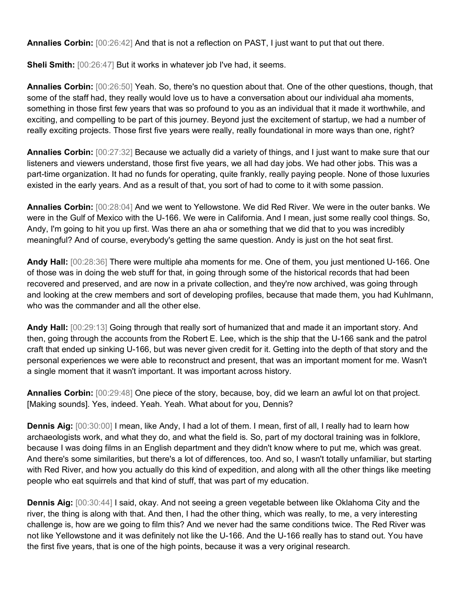**Annalies Corbin:** [00:26:42] And that is not a reflection on PAST, I just want to put that out there.

**Sheli Smith:** [00:26:47] But it works in whatever job I've had, it seems.

**Annalies Corbin:** [00:26:50] Yeah. So, there's no question about that. One of the other questions, though, that some of the staff had, they really would love us to have a conversation about our individual aha moments, something in those first few years that was so profound to you as an individual that it made it worthwhile, and exciting, and compelling to be part of this journey. Beyond just the excitement of startup, we had a number of really exciting projects. Those first five years were really, really foundational in more ways than one, right?

**Annalies Corbin:** [00:27:32] Because we actually did a variety of things, and I just want to make sure that our listeners and viewers understand, those first five years, we all had day jobs. We had other jobs. This was a part-time organization. It had no funds for operating, quite frankly, really paying people. None of those luxuries existed in the early years. And as a result of that, you sort of had to come to it with some passion.

**Annalies Corbin:** [00:28:04] And we went to Yellowstone. We did Red River. We were in the outer banks. We were in the Gulf of Mexico with the U-166. We were in California. And I mean, just some really cool things. So, Andy, I'm going to hit you up first. Was there an aha or something that we did that to you was incredibly meaningful? And of course, everybody's getting the same question. Andy is just on the hot seat first.

**Andy Hall:** [00:28:36] There were multiple aha moments for me. One of them, you just mentioned U-166. One of those was in doing the web stuff for that, in going through some of the historical records that had been recovered and preserved, and are now in a private collection, and they're now archived, was going through and looking at the crew members and sort of developing profiles, because that made them, you had Kuhlmann, who was the commander and all the other else.

**Andy Hall:** [00:29:13] Going through that really sort of humanized that and made it an important story. And then, going through the accounts from the Robert E. Lee, which is the ship that the U-166 sank and the patrol craft that ended up sinking U-166, but was never given credit for it. Getting into the depth of that story and the personal experiences we were able to reconstruct and present, that was an important moment for me. Wasn't a single moment that it wasn't important. It was important across history.

**Annalies Corbin:** [00:29:48] One piece of the story, because, boy, did we learn an awful lot on that project. [Making sounds]. Yes, indeed. Yeah. Yeah. What about for you, Dennis?

**Dennis Aig:** [00:30:00] I mean, like Andy, I had a lot of them. I mean, first of all, I really had to learn how archaeologists work, and what they do, and what the field is. So, part of my doctoral training was in folklore, because I was doing films in an English department and they didn't know where to put me, which was great. And there's some similarities, but there's a lot of differences, too. And so, I wasn't totally unfamiliar, but starting with Red River, and how you actually do this kind of expedition, and along with all the other things like meeting people who eat squirrels and that kind of stuff, that was part of my education.

**Dennis Aig:** [00:30:44] I said, okay. And not seeing a green vegetable between like Oklahoma City and the river, the thing is along with that. And then, I had the other thing, which was really, to me, a very interesting challenge is, how are we going to film this? And we never had the same conditions twice. The Red River was not like Yellowstone and it was definitely not like the U-166. And the U-166 really has to stand out. You have the first five years, that is one of the high points, because it was a very original research.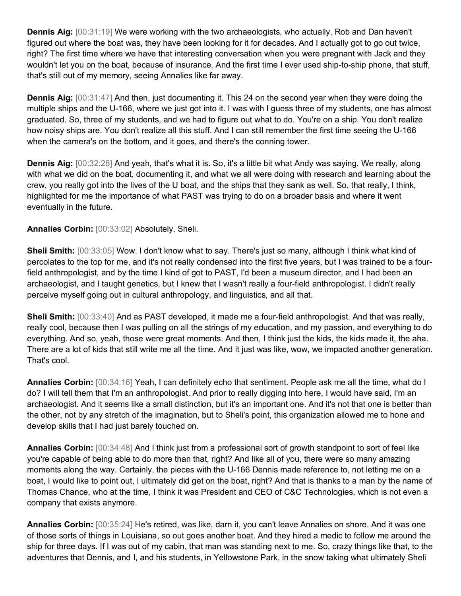**Dennis Aig:** [00:31:19] We were working with the two archaeologists, who actually, Rob and Dan haven't figured out where the boat was, they have been looking for it for decades. And I actually got to go out twice, right? The first time where we have that interesting conversation when you were pregnant with Jack and they wouldn't let you on the boat, because of insurance. And the first time I ever used ship-to-ship phone, that stuff, that's still out of my memory, seeing Annalies like far away.

**Dennis Aig:** [00:31:47] And then, just documenting it. This 24 on the second year when they were doing the multiple ships and the U-166, where we just got into it. I was with I guess three of my students, one has almost graduated. So, three of my students, and we had to figure out what to do. You're on a ship. You don't realize how noisy ships are. You don't realize all this stuff. And I can still remember the first time seeing the U-166 when the camera's on the bottom, and it goes, and there's the conning tower.

**Dennis Aig:** [00:32:28] And yeah, that's what it is. So, it's a little bit what Andy was saying. We really, along with what we did on the boat, documenting it, and what we all were doing with research and learning about the crew, you really got into the lives of the U boat, and the ships that they sank as well. So, that really, I think, highlighted for me the importance of what PAST was trying to do on a broader basis and where it went eventually in the future.

## **Annalies Corbin:** [00:33:02] Absolutely. Sheli.

**Sheli Smith:** [00:33:05] Wow. I don't know what to say. There's just so many, although I think what kind of percolates to the top for me, and it's not really condensed into the first five years, but I was trained to be a fourfield anthropologist, and by the time I kind of got to PAST, I'd been a museum director, and I had been an archaeologist, and I taught genetics, but I knew that I wasn't really a four-field anthropologist. I didn't really perceive myself going out in cultural anthropology, and linguistics, and all that.

**Sheli Smith:** [00:33:40] And as PAST developed, it made me a four-field anthropologist. And that was really, really cool, because then I was pulling on all the strings of my education, and my passion, and everything to do everything. And so, yeah, those were great moments. And then, I think just the kids, the kids made it, the aha. There are a lot of kids that still write me all the time. And it just was like, wow, we impacted another generation. That's cool.

**Annalies Corbin:** [00:34:16] Yeah, I can definitely echo that sentiment. People ask me all the time, what do I do? I will tell them that I'm an anthropologist. And prior to really digging into here, I would have said, I'm an archaeologist. And it seems like a small distinction, but it's an important one. And it's not that one is better than the other, not by any stretch of the imagination, but to Sheli's point, this organization allowed me to hone and develop skills that I had just barely touched on.

**Annalies Corbin:** [00:34:48] And I think just from a professional sort of growth standpoint to sort of feel like you're capable of being able to do more than that, right? And like all of you, there were so many amazing moments along the way. Certainly, the pieces with the U-166 Dennis made reference to, not letting me on a boat, I would like to point out, I ultimately did get on the boat, right? And that is thanks to a man by the name of Thomas Chance, who at the time, I think it was President and CEO of C&C Technologies, which is not even a company that exists anymore.

**Annalies Corbin:** [00:35:24] He's retired, was like, darn it, you can't leave Annalies on shore. And it was one of those sorts of things in Louisiana, so out goes another boat. And they hired a medic to follow me around the ship for three days. If I was out of my cabin, that man was standing next to me. So, crazy things like that, to the adventures that Dennis, and I, and his students, in Yellowstone Park, in the snow taking what ultimately Sheli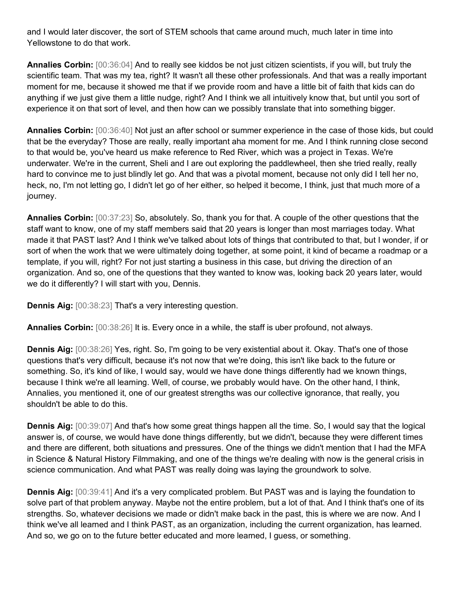and I would later discover, the sort of STEM schools that came around much, much later in time into Yellowstone to do that work.

**Annalies Corbin:** [00:36:04] And to really see kiddos be not just citizen scientists, if you will, but truly the scientific team. That was my tea, right? It wasn't all these other professionals. And that was a really important moment for me, because it showed me that if we provide room and have a little bit of faith that kids can do anything if we just give them a little nudge, right? And I think we all intuitively know that, but until you sort of experience it on that sort of level, and then how can we possibly translate that into something bigger.

**Annalies Corbin:** [00:36:40] Not just an after school or summer experience in the case of those kids, but could that be the everyday? Those are really, really important aha moment for me. And I think running close second to that would be, you've heard us make reference to Red River, which was a project in Texas. We're underwater. We're in the current, Sheli and I are out exploring the paddlewheel, then she tried really, really hard to convince me to just blindly let go. And that was a pivotal moment, because not only did I tell her no, heck, no, I'm not letting go, I didn't let go of her either, so helped it become, I think, just that much more of a journey.

**Annalies Corbin:** [00:37:23] So, absolutely. So, thank you for that. A couple of the other questions that the staff want to know, one of my staff members said that 20 years is longer than most marriages today. What made it that PAST last? And I think we've talked about lots of things that contributed to that, but I wonder, if or sort of when the work that we were ultimately doing together, at some point, it kind of became a roadmap or a template, if you will, right? For not just starting a business in this case, but driving the direction of an organization. And so, one of the questions that they wanted to know was, looking back 20 years later, would we do it differently? I will start with you, Dennis.

**Dennis Aig:** [00:38:23] That's a very interesting question.

**Annalies Corbin:** [00:38:26] It is. Every once in a while, the staff is uber profound, not always.

**Dennis Aig:** [00:38:26] Yes, right. So, I'm going to be very existential about it. Okay. That's one of those questions that's very difficult, because it's not now that we're doing, this isn't like back to the future or something. So, it's kind of like, I would say, would we have done things differently had we known things, because I think we're all learning. Well, of course, we probably would have. On the other hand, I think, Annalies, you mentioned it, one of our greatest strengths was our collective ignorance, that really, you shouldn't be able to do this.

**Dennis Aig:** [00:39:07] And that's how some great things happen all the time. So, I would say that the logical answer is, of course, we would have done things differently, but we didn't, because they were different times and there are different, both situations and pressures. One of the things we didn't mention that I had the MFA in Science & Natural History Filmmaking, and one of the things we're dealing with now is the general crisis in science communication. And what PAST was really doing was laying the groundwork to solve.

**Dennis Aig:** [00:39:41] And it's a very complicated problem. But PAST was and is laying the foundation to solve part of that problem anyway. Maybe not the entire problem, but a lot of that. And I think that's one of its strengths. So, whatever decisions we made or didn't make back in the past, this is where we are now. And I think we've all learned and I think PAST, as an organization, including the current organization, has learned. And so, we go on to the future better educated and more learned, I guess, or something.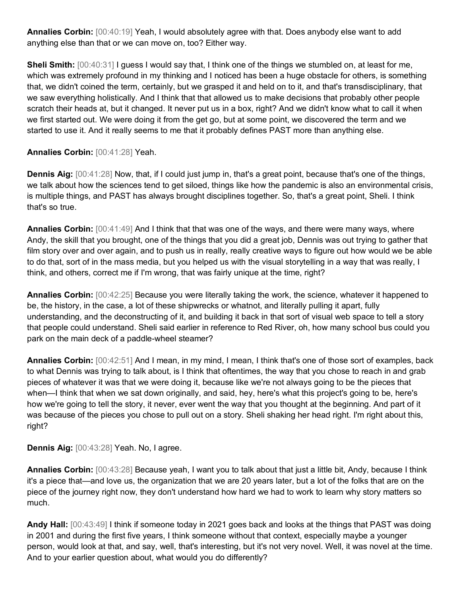**Annalies Corbin:** [00:40:19] Yeah, I would absolutely agree with that. Does anybody else want to add anything else than that or we can move on, too? Either way.

**Sheli Smith:** [00:40:31] I guess I would say that, I think one of the things we stumbled on, at least for me, which was extremely profound in my thinking and I noticed has been a huge obstacle for others, is something that, we didn't coined the term, certainly, but we grasped it and held on to it, and that's transdisciplinary, that we saw everything holistically. And I think that that allowed us to make decisions that probably other people scratch their heads at, but it changed. It never put us in a box, right? And we didn't know what to call it when we first started out. We were doing it from the get go, but at some point, we discovered the term and we started to use it. And it really seems to me that it probably defines PAST more than anything else.

**Annalies Corbin:** [00:41:28] Yeah.

**Dennis Aig:** [00:41:28] Now, that, if I could just jump in, that's a great point, because that's one of the things, we talk about how the sciences tend to get siloed, things like how the pandemic is also an environmental crisis, is multiple things, and PAST has always brought disciplines together. So, that's a great point, Sheli. I think that's so true.

**Annalies Corbin:** [00:41:49] And I think that that was one of the ways, and there were many ways, where Andy, the skill that you brought, one of the things that you did a great job, Dennis was out trying to gather that film story over and over again, and to push us in really, really creative ways to figure out how would we be able to do that, sort of in the mass media, but you helped us with the visual storytelling in a way that was really, I think, and others, correct me if I'm wrong, that was fairly unique at the time, right?

**Annalies Corbin:** [00:42:25] Because you were literally taking the work, the science, whatever it happened to be, the history, in the case, a lot of these shipwrecks or whatnot, and literally pulling it apart, fully understanding, and the deconstructing of it, and building it back in that sort of visual web space to tell a story that people could understand. Sheli said earlier in reference to Red River, oh, how many school bus could you park on the main deck of a paddle-wheel steamer?

**Annalies Corbin:** [00:42:51] And I mean, in my mind, I mean, I think that's one of those sort of examples, back to what Dennis was trying to talk about, is I think that oftentimes, the way that you chose to reach in and grab pieces of whatever it was that we were doing it, because like we're not always going to be the pieces that when—I think that when we sat down originally, and said, hey, here's what this project's going to be, here's how we're going to tell the story, it never, ever went the way that you thought at the beginning. And part of it was because of the pieces you chose to pull out on a story. Sheli shaking her head right. I'm right about this, right?

**Dennis Aig:** [00:43:28] Yeah. No, I agree.

**Annalies Corbin:** [00:43:28] Because yeah, I want you to talk about that just a little bit, Andy, because I think it's a piece that—and love us, the organization that we are 20 years later, but a lot of the folks that are on the piece of the journey right now, they don't understand how hard we had to work to learn why story matters so much.

**Andy Hall:** [00:43:49] I think if someone today in 2021 goes back and looks at the things that PAST was doing in 2001 and during the first five years, I think someone without that context, especially maybe a younger person, would look at that, and say, well, that's interesting, but it's not very novel. Well, it was novel at the time. And to your earlier question about, what would you do differently?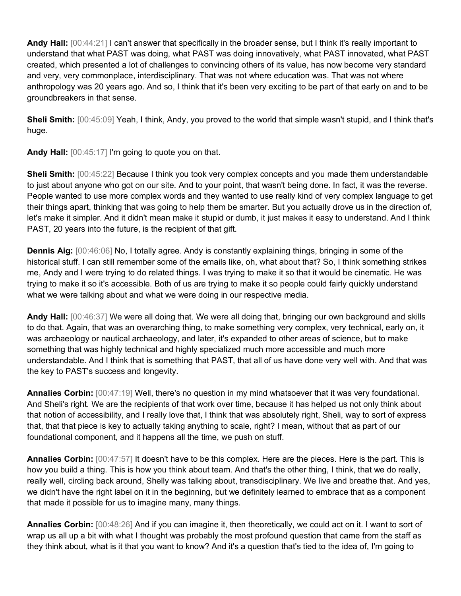**Andy Hall:** [00:44:21] I can't answer that specifically in the broader sense, but I think it's really important to understand that what PAST was doing, what PAST was doing innovatively, what PAST innovated, what PAST created, which presented a lot of challenges to convincing others of its value, has now become very standard and very, very commonplace, interdisciplinary. That was not where education was. That was not where anthropology was 20 years ago. And so, I think that it's been very exciting to be part of that early on and to be groundbreakers in that sense.

**Sheli Smith:** [00:45:09] Yeah, I think, Andy, you proved to the world that simple wasn't stupid, and I think that's huge.

**Andy Hall:** [00:45:17] I'm going to quote you on that.

**Sheli Smith:** [00:45:22] Because I think you took very complex concepts and you made them understandable to just about anyone who got on our site. And to your point, that wasn't being done. In fact, it was the reverse. People wanted to use more complex words and they wanted to use really kind of very complex language to get their things apart, thinking that was going to help them be smarter. But you actually drove us in the direction of, let's make it simpler. And it didn't mean make it stupid or dumb, it just makes it easy to understand. And I think PAST, 20 years into the future, is the recipient of that gift.

**Dennis Aig:**  $[00:46:06]$  No, I totally agree. Andy is constantly explaining things, bringing in some of the historical stuff. I can still remember some of the emails like, oh, what about that? So, I think something strikes me, Andy and I were trying to do related things. I was trying to make it so that it would be cinematic. He was trying to make it so it's accessible. Both of us are trying to make it so people could fairly quickly understand what we were talking about and what we were doing in our respective media.

**Andy Hall:** [00:46:37] We were all doing that. We were all doing that, bringing our own background and skills to do that. Again, that was an overarching thing, to make something very complex, very technical, early on, it was archaeology or nautical archaeology, and later, it's expanded to other areas of science, but to make something that was highly technical and highly specialized much more accessible and much more understandable. And I think that is something that PAST, that all of us have done very well with. And that was the key to PAST's success and longevity.

**Annalies Corbin:** [00:47:19] Well, there's no question in my mind whatsoever that it was very foundational. And Sheli's right. We are the recipients of that work over time, because it has helped us not only think about that notion of accessibility, and I really love that, I think that was absolutely right, Sheli, way to sort of express that, that that piece is key to actually taking anything to scale, right? I mean, without that as part of our foundational component, and it happens all the time, we push on stuff.

**Annalies Corbin:** [00:47:57] It doesn't have to be this complex. Here are the pieces. Here is the part. This is how you build a thing. This is how you think about team. And that's the other thing, I think, that we do really, really well, circling back around, Shelly was talking about, transdisciplinary. We live and breathe that. And yes, we didn't have the right label on it in the beginning, but we definitely learned to embrace that as a component that made it possible for us to imagine many, many things.

**Annalies Corbin:** [00:48:26] And if you can imagine it, then theoretically, we could act on it. I want to sort of wrap us all up a bit with what I thought was probably the most profound question that came from the staff as they think about, what is it that you want to know? And it's a question that's tied to the idea of, I'm going to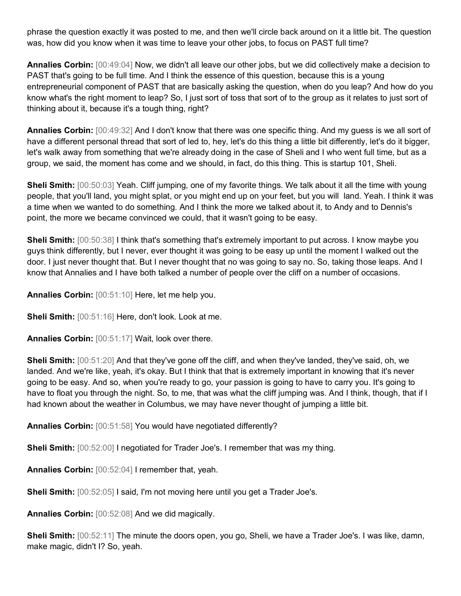phrase the question exactly it was posted to me, and then we'll circle back around on it a little bit. The question was, how did you know when it was time to leave your other jobs, to focus on PAST full time?

**Annalies Corbin:** [00:49:04] Now, we didn't all leave our other jobs, but we did collectively make a decision to PAST that's going to be full time. And I think the essence of this question, because this is a young entrepreneurial component of PAST that are basically asking the question, when do you leap? And how do you know what's the right moment to leap? So, I just sort of toss that sort of to the group as it relates to just sort of thinking about it, because it's a tough thing, right?

**Annalies Corbin:** [00:49:32] And I don't know that there was one specific thing. And my guess is we all sort of have a different personal thread that sort of led to, hey, let's do this thing a little bit differently, let's do it bigger, let's walk away from something that we're already doing in the case of Sheli and I who went full time, but as a group, we said, the moment has come and we should, in fact, do this thing. This is startup 101, Sheli.

**Sheli Smith:** [00:50:03] Yeah. Cliff jumping, one of my favorite things. We talk about it all the time with young people, that you'll land, you might splat, or you might end up on your feet, but you will land. Yeah. I think it was a time when we wanted to do something. And I think the more we talked about it, to Andy and to Dennis's point, the more we became convinced we could, that it wasn't going to be easy.

**Sheli Smith:** [00:50:38] I think that's something that's extremely important to put across. I know maybe you guys think differently, but I never, ever thought it was going to be easy up until the moment I walked out the door. I just never thought that. But I never thought that no was going to say no. So, taking those leaps. And I know that Annalies and I have both talked a number of people over the cliff on a number of occasions.

**Annalies Corbin:** [00:51:10] Here, let me help you.

**Sheli Smith:** [00:51:16] Here, don't look. Look at me.

**Annalies Corbin:** [00:51:17] Wait, look over there.

**Sheli Smith:** [00:51:20] And that they've gone off the cliff, and when they've landed, they've said, oh, we landed. And we're like, yeah, it's okay. But I think that that is extremely important in knowing that it's never going to be easy. And so, when you're ready to go, your passion is going to have to carry you. It's going to have to float you through the night. So, to me, that was what the cliff jumping was. And I think, though, that if I had known about the weather in Columbus, we may have never thought of jumping a little bit.

**Annalies Corbin:** [00:51:58] You would have negotiated differently?

**Sheli Smith:** [00:52:00] I negotiated for Trader Joe's. I remember that was my thing.

**Annalies Corbin:** [00:52:04] I remember that, yeah.

**Sheli Smith:** [00:52:05] I said, I'm not moving here until you get a Trader Joe's.

**Annalies Corbin:** [00:52:08] And we did magically.

**Sheli Smith:** [00:52:11] The minute the doors open, you go, Sheli, we have a Trader Joe's. I was like, damn, make magic, didn't I? So, yeah.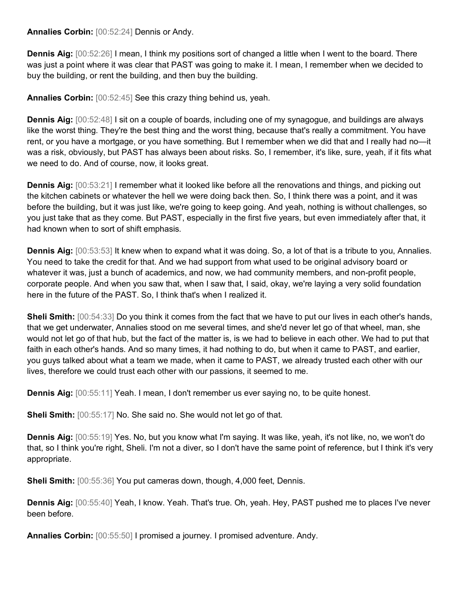**Annalies Corbin:** [00:52:24] Dennis or Andy.

**Dennis Aig:** [00:52:26] I mean, I think my positions sort of changed a little when I went to the board. There was just a point where it was clear that PAST was going to make it. I mean, I remember when we decided to buy the building, or rent the building, and then buy the building.

**Annalies Corbin:** [00:52:45] See this crazy thing behind us, yeah.

**Dennis Aig:** [00:52:48] I sit on a couple of boards, including one of my synagogue, and buildings are always like the worst thing. They're the best thing and the worst thing, because that's really a commitment. You have rent, or you have a mortgage, or you have something. But I remember when we did that and I really had no—it was a risk, obviously, but PAST has always been about risks. So, I remember, it's like, sure, yeah, if it fits what we need to do. And of course, now, it looks great.

**Dennis Aig:** [00:53:21] I remember what it looked like before all the renovations and things, and picking out the kitchen cabinets or whatever the hell we were doing back then. So, I think there was a point, and it was before the building, but it was just like, we're going to keep going. And yeah, nothing is without challenges, so you just take that as they come. But PAST, especially in the first five years, but even immediately after that, it had known when to sort of shift emphasis.

**Dennis Aig:** [00:53:53] It knew when to expand what it was doing. So, a lot of that is a tribute to you, Annalies. You need to take the credit for that. And we had support from what used to be original advisory board or whatever it was, just a bunch of academics, and now, we had community members, and non-profit people, corporate people. And when you saw that, when I saw that, I said, okay, we're laying a very solid foundation here in the future of the PAST. So, I think that's when I realized it.

**Sheli Smith:** [00:54:33] Do you think it comes from the fact that we have to put our lives in each other's hands, that we get underwater, Annalies stood on me several times, and she'd never let go of that wheel, man, she would not let go of that hub, but the fact of the matter is, is we had to believe in each other. We had to put that faith in each other's hands. And so many times, it had nothing to do, but when it came to PAST, and earlier, you guys talked about what a team we made, when it came to PAST, we already trusted each other with our lives, therefore we could trust each other with our passions, it seemed to me.

**Dennis Aig:** [00:55:11] Yeah. I mean, I don't remember us ever saying no, to be quite honest.

**Sheli Smith:** [00:55:17] No. She said no. She would not let go of that.

**Dennis Aig:** [00:55:19] Yes. No, but you know what I'm saying. It was like, yeah, it's not like, no, we won't do that, so I think you're right, Sheli. I'm not a diver, so I don't have the same point of reference, but I think it's very appropriate.

**Sheli Smith:** [00:55:36] You put cameras down, though, 4,000 feet, Dennis.

**Dennis Aig:** [00:55:40] Yeah, I know. Yeah. That's true. Oh, yeah. Hey, PAST pushed me to places I've never been before.

**Annalies Corbin:** [00:55:50] I promised a journey. I promised adventure. Andy.